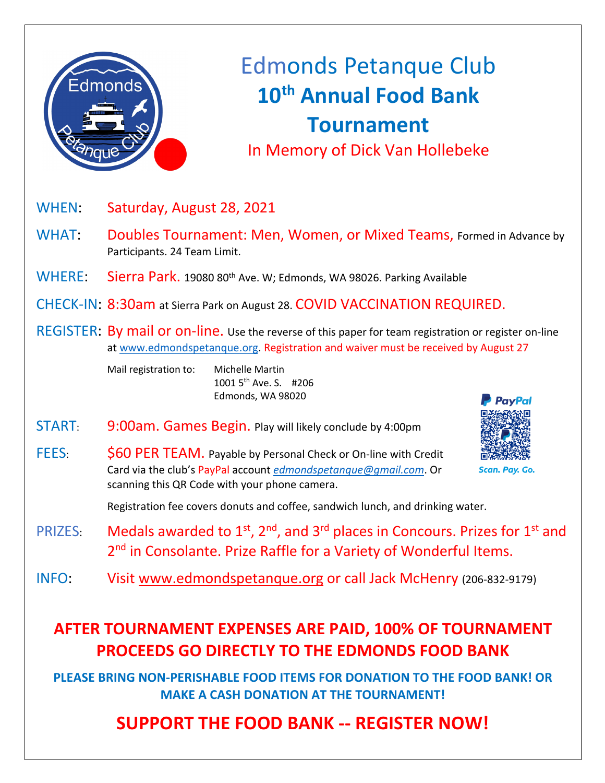

# Edmonds Petanque Club **10th Annual Food Bank Tournament**

In Memory of Dick Van Hollebeke

- WHEN: Saturday, August 28, 2021
- WHAT: Doubles Tournament: Men, Women, or Mixed Teams, Formed in Advance by Participants. 24 Team Limit.
- WHERE: Sierra Park. 19080 80<sup>th</sup> Ave. W; Edmonds, WA 98026. Parking Available
- CHECK-IN: 8:30am at Sierra Park on August 28. COVID VACCINATION REQUIRED.
- REGISTER: By mail or on-line. Use the reverse of this paper for team registration or register on-line at www.edmondspetanque.org. Registration and waiver must be received by August 27

Mail registration to: Michelle Martin

1001 5th Ave. S. #206 Edmonds, WA 98020

- START: 9:00am. Games Begin. Play will likely conclude by 4:00pm
- FEES: \$60 PER TEAM. Payable by Personal Check or On-line with Credit Card via the club's PayPal account *edmondspetanque@gmail.com*. Or scanning this QR Code with your phone camera.



Scan. Pay. Go.

Registration fee covers donuts and coffee, sandwich lunch, and drinking water.

- PRIZES: Medals awarded to  $1^{st}$ ,  $2^{nd}$ , and  $3^{rd}$  places in Concours. Prizes for  $1^{st}$  and 2<sup>nd</sup> in Consolante. Prize Raffle for a Variety of Wonderful Items.
- INFO: Visit www.edmondspetanque.org or call Jack McHenry (206-832-9179)

### **AFTER TOURNAMENT EXPENSES ARE PAID, 100% OF TOURNAMENT PROCEEDS GO DIRECTLY TO THE EDMONDS FOOD BANK**

**PLEASE BRING NON-PERISHABLE FOOD ITEMS FOR DONATION TO THE FOOD BANK! OR MAKE A CASH DONATION AT THE TOURNAMENT!**

## **SUPPORT THE FOOD BANK -- REGISTER NOW!**